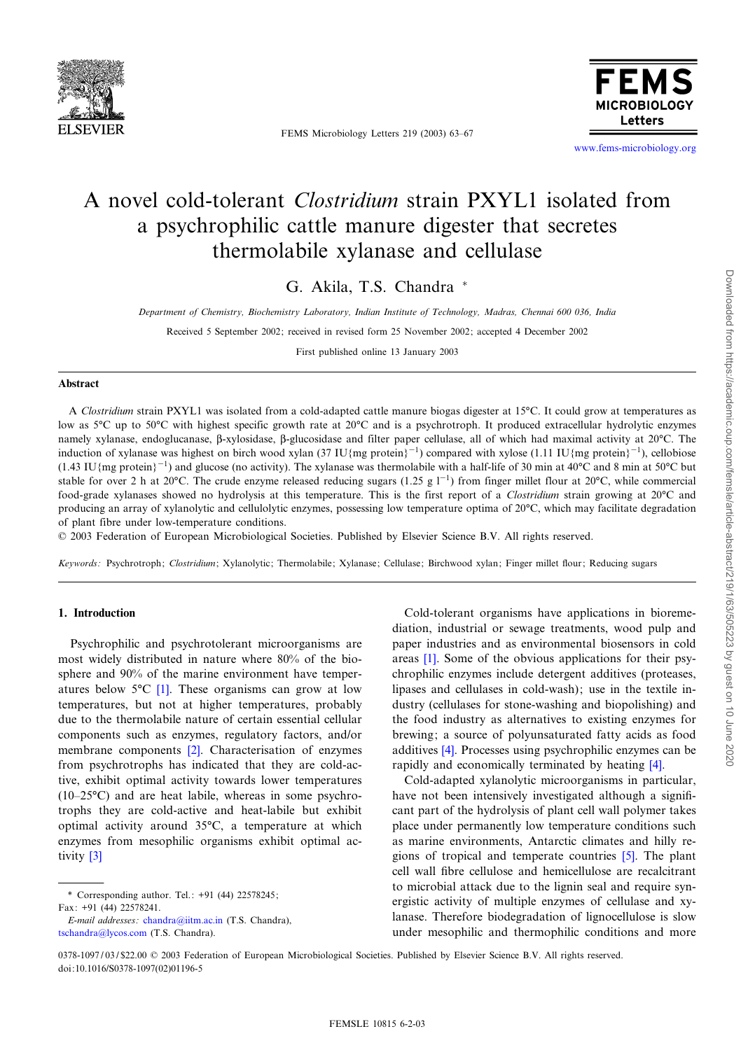

FEMS Microbiology Letters 219 (2003) 63-67



www.fems-microbiology.org

# A novel cold-tolerant Clostridium strain PXYL1 isolated from a psychrophilic cattle manure digester that secretes thermolabile xylanase and cellulase

G. Akila, T.S. Chandra \*

Department of Chemistry, Biochemistry Laboratory, Indian Institute of Technology, Madras, Chennai 600 036, India

Received 5 September 2002; received in revised form 25 November 2002; accepted 4 December 2002

First published online 13 January 2003

#### Abstract

A Clostridium strain PXYL1 was isolated from a cold-adapted cattle manure biogas digester at 15°C. It could grow at temperatures as low as 5<sup>o</sup>C up to 50<sup>o</sup>C with highest specific growth rate at 20<sup>o</sup>C and is a psychrotroph. It produced extracellular hydrolytic enzymes namely xylanase, endoglucanase,  $\beta$ -xylosidase,  $\beta$ -glucosidase and filter paper cellulase, all of which had maximal activity at 20 $\degree$ C. The induction of xylanase was highest on birch wood xylan (37 IU{mg protein}<sup>-1</sup>) compared with xylose (1.11 IU{mg protein}<sup>-1</sup>), cellobiose  $(1.43 \text{ IU/mg protein}^{-1})$  and glucose (no activity). The xylanase was thermolabile with a half-life of 30 min at 40°C and 8 min at 50°C but stable for over 2 h at 20°C. The crude enzyme released reducing sugars (1.25 g  $1^{-1}$ ) from finger millet flour at 20°C, while commercial food-grade xylanases showed no hydrolysis at this temperature. This is the first report of a Clostridium strain growing at 20°C and producing an array of xylanolytic and cellulolytic enzymes, possessing low temperature optima of 20°C, which may facilitate degradation of plant fibre under low-temperature conditions.

: 2003 Federation of European Microbiological Societies. Published by Elsevier Science B.V. All rights reserved.

Keywords: Psychrotroph; Clostridium; Xylanolytic; Thermolabile; Xylanase; Cellulase; Birchwood xylan; Finger millet flour; Reducing sugars

## 1. Introduction

Psychrophilic and psychrotolerant microorganisms are most widely distributed in nature where 80% of the biosphere and 90% o[f th](#page-3-0)e marine environment have temperatures below  $5^{\circ}C$  [1]. These organisms can grow at low temperatures, but not at higher temperatures, probably due to the thermolabile nature of certain essential cellular components such as en[zym](#page-3-0)es, regulatory factors, and/or membrane components [2]. Characterisation of enzymes from psychrotrophs has indicated that they are cold-active, exhibit optimal activity towards lower temperatures  $(10-25\textdegree C)$  and are heat labile, whereas in some psychrotrophs they are cold-active and heat-labile but exhibit optimal activity around  $35^{\circ}$ C, a temperature at which enzy[mes](#page-3-0) from mesophilic organisms exhibit optimal activity [3]

\* Corresponding author. Tel.: +91 (44) 22578245;  $Fax: +91$  (44) 22578241

[E-mail addresses :](mailto:tschandra@lycos.com) chandra@iitm.ac.in (T.S. Chandra), tschandra@lycos.com (T.S. Chandra).

Cold-tolerant organisms have applications in bioremediation, industrial or sewage treatments, wood pulp and paper [ind](#page-3-0)ustries and as environmental biosensors in cold areas [1]. Some of the obvious applications for their psychrophilic enzymes include detergent additives (proteases, lipases and cellulases in cold-wash); use in the textile industry (cellulases for stone-washing and biopolishing) and the food industry as alternatives to existing enzymes for brewing; [a s](#page-3-0)ource of polyunsaturated fatty acids as food additives [4]. Processes using psychrophilic enzym[es](#page-3-0) can be rapidly and economically terminated by heating [4].

Cold-adapted xylanolytic microorganisms in particular, have not been intensively investigated although a significant part of the hydrolysis of plant cell wall polymer takes place under permanently low temperature conditions such as marine environments, Antarctic climate[s an](#page-3-0)d hilly regions of tropical and temperate countries [5]. The plant cell wall ¢bre cellulose and hemicellulose are recalcitrant to microbial attack due to the lignin seal and require synergistic activity of multiple enzymes of cellulase and xylanase. Therefore biodegradation of lignocellulose is slow under mesophilic and thermophilic conditions and more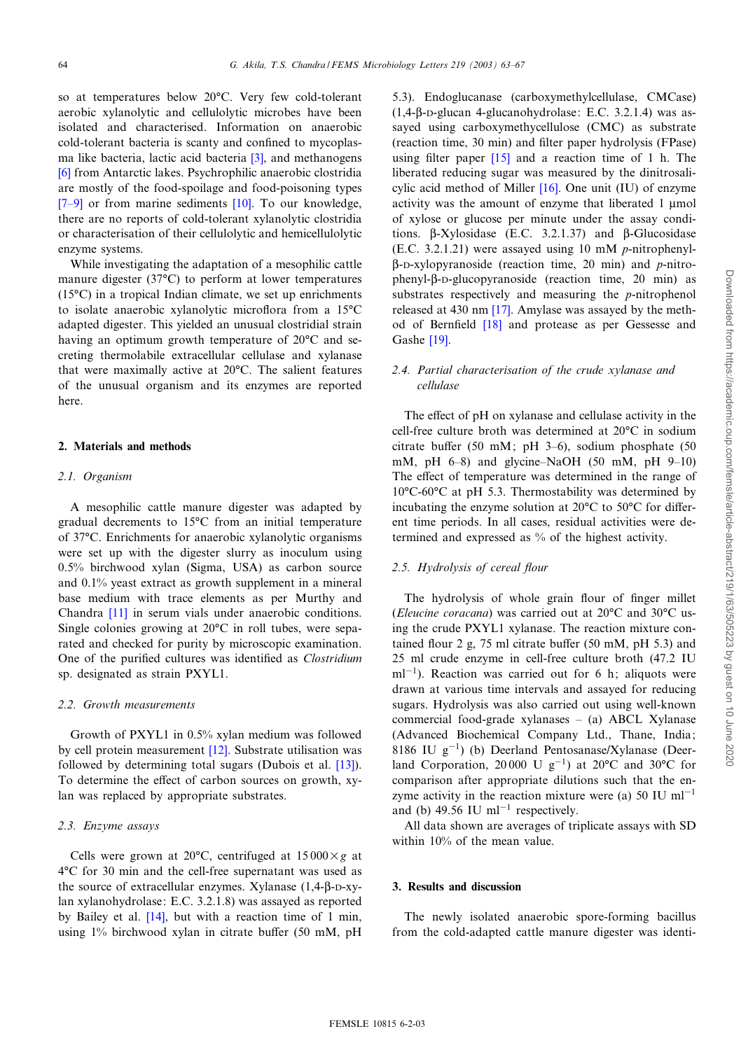so at temperatures below 20°C. Very few cold-tolerant aerobic xylanolytic and cellulolytic microbes have been isolated and characterised. Information on anaerobic cold-tolerant bacteria is scanty and [con](#page-3-0)fined to mycoplas[ma](#page-3-0) like bacteria, lactic acid bacteria  $[3]$ , and methanogens [6] from Antarctic lakes. Psychrophilic anaerobic clostridia [are m](#page-3-0)ostly of the food-spoilage [and](#page-4-0) food-poisoning types  $[7-9]$  or from marine sediments  $[10]$ . To our knowledge, there are no reports of cold-tolerant xylanolytic clostridia or characterisation of their cellulolytic and hemicellulolytic enzyme systems.

While investigating the adaptation of a mesophilic cattle manure digester (37 $°C$ ) to perform at lower temperatures (15 $°C$ ) in a tropical Indian climate, we set up enrichments to isolate anaerobic xylanolytic microflora from a  $15^{\circ}$ C adapted digester. This yielded an unusual clostridial strain having an optimum growth temperature of  $20^{\circ}$ C and secreting thermolabile extracellular cellulase and xylanase that were maximally active at  $20^{\circ}$ C. The salient features of the unusual organism and its enzymes are reported here.

## 2. Materials and methods

## 2.1. Organism

A mesophilic cattle manure digester was adapted by gradual decrements to  $15^{\circ}$ C from an initial temperature of 37°C. Enrichments for anaerobic xylanolytic organisms were set up with the digester slurry as inoculum using 0.5% birchwood xylan (Sigma, USA) as carbon source and 0.1% yeast extract as growth supplement in a mineral base me[dium](#page-4-0) with trace elements as per Murthy and Chandra [11] in serum vials under anaerobic conditions. Single colonies growing at  $20^{\circ}$ C in roll tubes, were separated and checked for purity by microscopic examination. One of the purified cultures was identified as *Clostridium* sp. designated as strain PXYL1.

#### 2.2. Growth measurements

Growth of PXYL1 in 0.5[% xy](#page-4-0)lan medium was followed by cell protein measurement [12]. Substrate utilisatio[n wa](#page-4-0)s followed by determining total sugars (Dubois et al. [13]). To determine the effect of carbon sources on growth, xylan was replaced by appropriate substrates.

#### 2.3. Enzyme assays

Cells were grown at 20 $^{\circ}$ C, centrifuged at 15 000 $\times g$  at 4°C for 30 min and the cell-free supernatant was used as the source of extracellular enzymes. Xylanase  $(1,4-\beta-D-xy$ lan xylanohydrol[ase:](#page-4-0) E.C. 3.2.1.8) was assayed as reported by Bailey et al.  $[14]$ , but with a reaction time of 1 min, using 1% birchwood xylan in citrate buffer (50 mM, pH 5.3). Endoglucanase (carboxymethylcellulase, CMCase)  $(1,4-\beta)$ -D-glucan 4-glucanohydrolase: E.C. 3.2.1.4) was assayed using carboxymethycellulose (CMC) as substrate (reaction time,30 [min\)](#page-4-0) and ¢lter paper hydrolysis (FPase) using filter paper  $[15]$  and a reaction time of 1 h. The liberated reducing sugar wa[s me](#page-4-0)asured by the dinitrosalicylic acid method of Miller  $[16]$ . One unit (IU) of enzyme activity was the amount of enzyme that liberated 1 µmol of xylose or glucose per minute under the assay conditions.  $\beta$ -Xylosidase (E.C. 3.2.1.37) and  $\beta$ -Glucosidase (E.C. 3.2.1.21) were assayed using 10 mM p-nitrophenyl- $\beta$ -D-xylopyranoside (reaction time, 20 min) and p-nitrophenyl- $\beta$ -D-glucopyranoside (reaction time, 20 min) as substrates respecti[vely](#page-4-0) and measuring the p-nitrophenol released at 430 nm [\[17](#page-4-0)]. Amylase was assayed by the meth-od of [Bern](#page-4-0)field <a>[18]</a> and protease as per Gessesse and Gashe [19].

# 2.4. Partial characterisation of the crude xylanase and cellulase

The effect of pH on xylanase and cellulase activity in the cell-free culture broth was determined at 20°C in sodium citrate buffer (50 mM; pH 3-6), sodium phosphate (50 mM, pH  $6-8$ ) and glycine–NaOH (50 mM, pH 9-10) The effect of temperature was determined in the range of  $10^{\circ}$ C-60 $^{\circ}$ C at pH 5.3. Thermostability was determined by incubating the enzyme solution at  $20^{\circ}C$  to  $50^{\circ}C$  for different time periods. In all cases, residual activities were determined and expressed as % of the highest activity.

# 2.5. Hydrolysis of cereal flour

The hydrolysis of whole grain flour of finger millet (*Eleucine coracana*) was carried out at  $20^{\circ}$ C and  $30^{\circ}$ C using the crude PXYL1 xylanase. The reaction mixture contained flour 2 g, 75 ml citrate buffer (50 mM, pH 5.3) and 25 ml crude enzyme in cell-free culture broth (47.2 IU  $ml^{-1}$ ). Reaction was carried out for 6 h; aliquots were drawn at various time intervals and assayed for reducing sugars. Hydrolysis was also carried out using well-known commercial food-grade xylanases  $-$  (a) ABCL Xylanase (Advanced Biochemical Company Ltd., Thane, India; 8186 IU  $g^{-1}$ ) (b) Deerland Pentosanase/Xylanase (Deerland Corporation, 20 000 U g<sup>-1</sup>) at 20 $^{\circ}$ C and 30 $^{\circ}$ C for comparison after appropriate dilutions such that the enzyme activity in the reaction mixture were (a) 50 IU  $ml^{-1}$ and (b) 49.56 IU m $l^{-1}$  respectively.

All data shown are averages of triplicate assays with SD within 10% of the mean value.

## 3. Results and discussion

The newly isolated anaerobic spore-forming bacillus from the cold-adapted cattle manure digester was identi-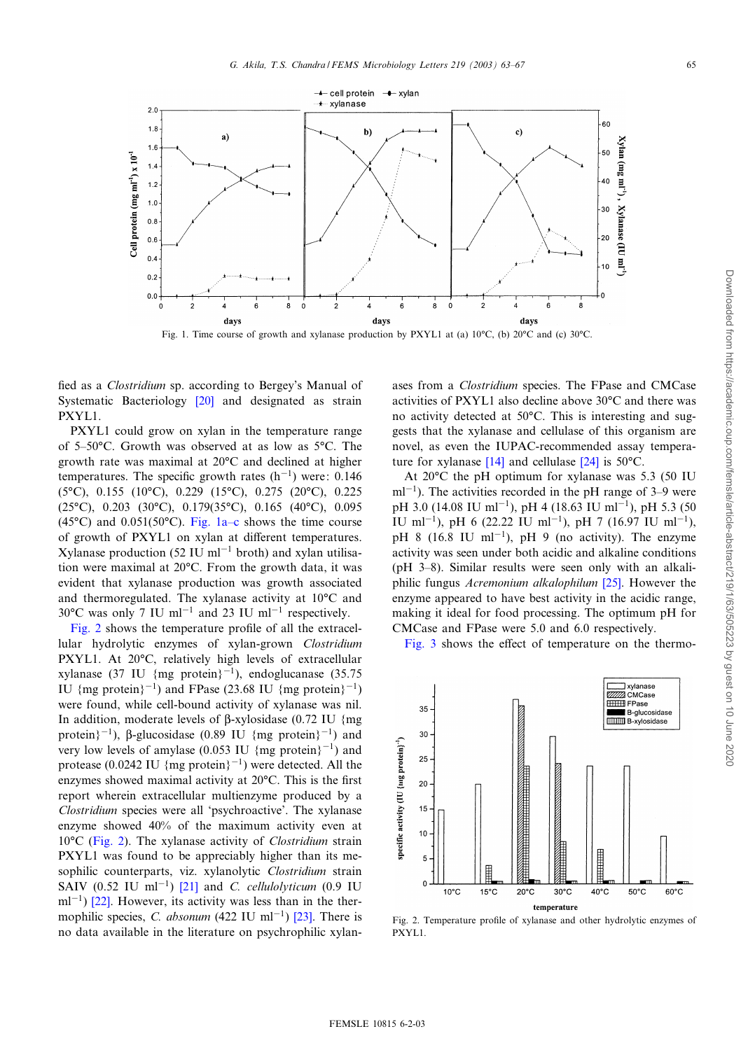



Fig. 1. Time course of growth and xylanase production by PXYL1 at (a)  $10^{\circ}C$ , (b)  $20^{\circ}C$  and (c)  $30^{\circ}C$ .

fied as a *Clostridium* sp. [accor](#page-4-0)ding to Bergey's Manual of Systematic Bacteriology [20] and designated as strain PXYL1.

PXYL1 could grow on xylan in the temperature range of 5-50°C. Growth was observed at as low as 5°C. The growth rate was maximal at  $20^{\circ}$ C and declined at higher temperatures. The specific growth rates  $(h^{-1})$  were: 0.146  $(5^{\circ}C)$ , 0.155 (10 $^{\circ}C$ ), 0.229 (15 $^{\circ}C$ ), 0.275 (20 $^{\circ}C$ ), 0.225  $(25°C)$ , 0.203 (30°C), 0.179(35°C), 0.165 (40°C), 0.095 (45 $°C$ ) and 0.051(50 $°C$ ). Fig. 1a–c shows the time course of growth of PXYL1 on xylan at different temperatures. Xylanase production (52 IU ml<sup>-1</sup> broth) and xylan utilisation were maximal at 20°C. From the growth data, it was evident that xylanase production was growth associated and thermoregulated. The xylanase activity at  $10^{\circ}$ C and  $30^{\circ}$ C was only 7 IU ml<sup>-1</sup> and 23 IU ml<sup>-1</sup> respectively.

Fig. 2 shows the temperature profile of all the extracellular hydrolytic enzymes of xylan-grown Clostridium PXYL1. At 20°C, relatively high levels of extracellular xylanase (37 IU {mg protein}<sup>-1</sup>), endoglucanase (35.75) IU {mg protein}<sup>-1</sup>) and FPase (23.68 IU {mg protein}<sup>-1</sup>) were found, while cell-bound activity of xylanase was nil. In addition, moderate levels of  $\beta$ -xylosidase (0.72 IU {mg protein $3^{-1}$ ),  $\beta$ -glucosidase (0.89 IU {mg protein $3^{-1}$ ) and very low levels of amylase (0.053 IU {mg protein}<sup>-1</sup>) and protease (0.0242 IU {mg protein}<sup>-1</sup>) were detected. All the enzymes showed maximal activity at  $20^{\circ}$ C. This is the first report wherein extracellular multienzyme produced by a Clostridium species were all 'psychroactive'. The xylanase enzyme showed 40% of the maximum activity even at  $10^{\circ}$ C (Fig. 2). The xylanase activity of *Clostridium* strain PXYL1 was found to be appreciably higher than its mesophilic counterparts, [viz.](#page-4-0) xylanolytic *Clostridium* strain SAIV [\(0.5](#page-4-0)2 IU ml<sup>-1</sup>) [21] and *C. cellulolyticum* (0.9 IU  $ml^{-1}$ ) [22]. However, its activity was less tha[n in](#page-4-0) the thermophilic species, C. absonum (422 IU ml<sup>-1</sup>) [23]. There is no data available in the literature on psychrophilic xylanases from a Clostridium species. The FPase and CMCase activities of PXYL1 also decline above  $30^{\circ}$ C and there was no activity detected at 50°C. This is interesting and suggests that the xylanase and cellulase of this organism are novel, as even th[e IU](#page-4-0)PAC-recom[mend](#page-4-0)ed assay temperature for xylanase  $[14]$  and cellulase  $[24]$  is 50 $^{\circ}$ C.

At  $20^{\circ}$ C the pH optimum for xylanase was 5.3 (50 IU  $ml^{-1}$ ). The activities recorded in the pH range of 3–9 were pH 3.0 (14.08 IU ml<sup>-1</sup>), pH 4 (18.63 IU ml<sup>-1</sup>), pH 5.3 (50 IU ml<sup>-1</sup>), pH 6 (22.22 IU ml<sup>-1</sup>), pH 7 (16.97 IU ml<sup>-1</sup>), pH 8 (16.8 IU ml<sup>-1</sup>), pH 9 (no activity). The enzyme activity was seen under both acidic and alkaline conditions ( $pH$  3–8). Similar results were seen on[ly w](#page-4-0)ith an alkaliphilic fungus *Acremonium alkalophilum* [25]. However the enzyme appeared to have best activity in the acidic range, making it ideal for food processing. The optimum pH for C[MCase](#page-3-0) and FPase were 5.0 and 6.0 respectively.

Fig. 3 shows the effect of temperature on the thermo-



Fig. 2. Temperature profile of xylanase and other hydrolytic enzymes of PXYL1.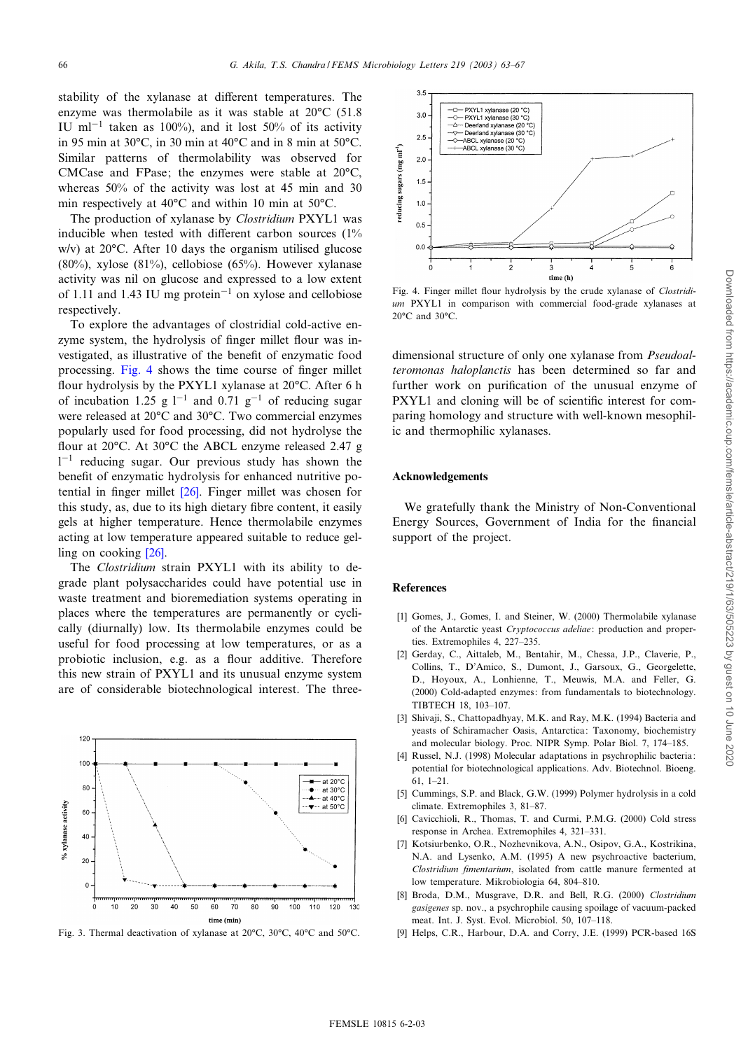<span id="page-3-0"></span>stability of the xylanase at different temperatures. The enzyme was thermolabile as it was stable at  $20^{\circ}$ C (51.8) IU ml<sup>-1</sup> taken as 100%), and it lost 50% of its activity in 95 min at 30 $^{\circ}$ C, in 30 min at 40 $^{\circ}$ C and in 8 min at 50 $^{\circ}$ C. Similar patterns of thermolability was observed for CMCase and FPase; the enzymes were stable at  $20^{\circ}$ C, whereas 50% of the activity was lost at 45 min and 30 min respectively at  $40^{\circ}$ C and within 10 min at 50 $^{\circ}$ C.

The production of xylanase by *Clostridium* PXYL1 was inducible when tested with different carbon sources  $(1\%)$ w/v) at  $20^{\circ}$ C. After 10 days the organism utilised glucose (80%), xylose (81%), cellobiose (65%). However xylanase activity was nil on glucose and expressed to a low extent of 1.11 and 1.43 IU mg protein<sup>-1</sup> on xylose and cellobiose respectively.

To explore the advantages of clostridial cold-active enzyme system, the hydrolysis of finger millet flour was investigated, as illustrative of the benefit of enzymatic food processing. Fig. 4 shows the time course of finger millet flour hydrolysis by the PXYL1 xylanase at 20°C. After 6 h of incubation 1.25 g  $1^{-1}$  and 0.71 g<sup>-1</sup> of reducing sugar were released at 20°C and 30°C. Two commercial enzymes popularly used for food processing, did not hydrolyse the flour at 20°C. At 30°C the ABCL enzyme released 2.47 g  $1<sup>-1</sup>$  reducing sugar. Our previous study has shown the benefit of enzymatic hy[drol](#page-4-0)ysis for enhanced nutritive potential in ¢nger millet [26]. Finger millet was chosen for this study, as, due to its high dietary fibre content, it easily gels at higher temperature. Hence thermolabile enzymes acting at low te[mper](#page-4-0)ature appeared suitable to reduce gelling on cooking [26].

The Clostridium strain PXYL1 with its ability to degrade plant polysaccharides could have potential use in waste treatment and bioremediation systems operating in places where the temperatures are permanently or cyclically (diurnally) low. Its thermolabile enzymes could be useful for food processing at low temperatures, or as a probiotic inclusion, e.g. as a flour additive. Therefore this new strain of PXYL1 and its unusual enzyme system are of considerable biotechnological interest. The three-



Fig. 3. Thermal deactivation of xylanase at 20°C, 30°C, 40°C and 50°C.



Fig. 4. Finger millet flour hydrolysis by the crude xylanase of *Clostridi*um PXYL1 in comparison with commercial food-grade xylanases at  $20^{\circ}$ C and  $30^{\circ}$ C.

dimensional structure of only one xylanase from Pseudoalteromonas haloplanctis has been determined so far and further work on purification of the unusual enzyme of PXYL1 and cloning will be of scientific interest for comparing homology and structure with well-known mesophilic and thermophilic xylanases.

## Acknowledgements

We gratefully thank the Ministry of Non-Conventional Energy Sources, Government of India for the financial support of the project.

#### **References**

- [1] Gomes, J., Gomes, I. and Steiner, W. (2000) Thermolabile xylanase of the Antarctic yeast Cryptococcus adeliae: production and properties. Extremophiles 4, 227-235.
- [2] Gerday, C., Aittaleb, M., Bentahir, M., Chessa, J.P., Claverie, P., Collins, T., D'Amico, S., Dumont, J., Garsoux, G., Georgelette, D., Hoyoux, A., Lonhienne, T., Meuwis, M.A. and Feller, G. (2000) Cold-adapted enzymes: from fundamentals to biotechnology. TIBTECH 18, 103-107.
- [3] Shivaji, S., Chattopadhyay, M.K. and Ray, M.K. (1994) Bacteria and yeasts of Schiramacher Oasis, Antarctica: Taxonomy, biochemistry and molecular biology. Proc. NIPR Symp. Polar Biol. 7, 174-185.
- [4] Russel, N.J. (1998) Molecular adaptations in psychrophilic bacteria: potential for biotechnological applications. Adv. Biotechnol. Bioeng. 61,1^21.
- [5] Cummings, S.P. and Black, G.W. (1999) Polymer hydrolysis in a cold climate. Extremophiles 3, 81-87.
- [6] Cavicchioli, R., Thomas, T. and Curmi, P.M.G. (2000) Cold stress response in Archea. Extremophiles 4, 321-331.
- [7] Kotsiurbenko, O.R., Nozhevnikova, A.N., Osipov, G.A., Kostrikina, N.A. and Lysenko, A.M. (1995) A new psychroactive bacterium, Clostridium fimentarium, isolated from cattle manure fermented at low temperature. Mikrobiologia 64, 804-810.
- [8] Broda, D.M., Musgrave, D.R. and Bell, R.G. (2000) Clostridium gasigenes sp. nov., a psychrophile causing spoilage of vacuum-packed meat. Int. J. Syst. Evol. Microbiol. 50, 107-118.
- [9] Helps, C.R., Harbour, D.A. and Corry, J.E. (1999) PCR-based 16S